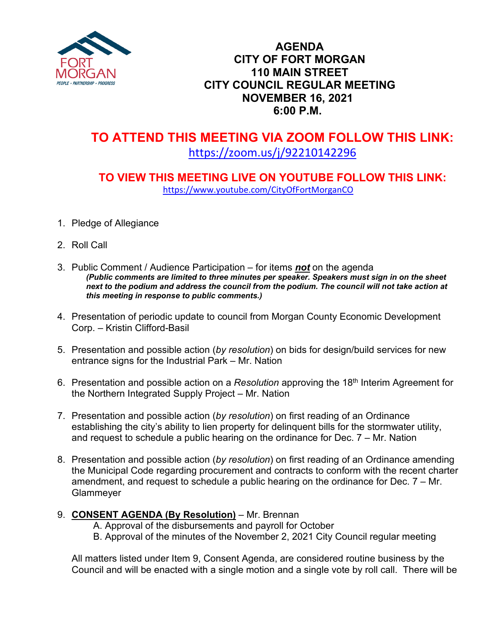

#### **AGENDA CITY OF FORT MORGAN 110 MAIN STREET CITY COUNCIL REGULAR MEETING NOVEMBER 16, 2021 6:00 P.M.**

# **TO ATTEND THIS MEETING VIA ZOOM FOLLOW THIS LINK:** <https://zoom.us/j/92210142296>

# **TO VIEW THIS MEETING LIVE ON YOUTUBE FOLLOW THIS LINK:** <https://www.youtube.com/CityOfFortMorganCO>

- 1. Pledge of Allegiance
- 2. Roll Call
- 3. Public Comment / Audience Participation for items *not* on the agenda *(Public comments are limited to three minutes per speaker. Speakers must sign in on the sheet*  next to the podium and address the council from the podium. The council will not take action at *this meeting in response to public comments.)*
- 4. Presentation of periodic update to council from Morgan County Economic Development Corp. – Kristin Clifford-Basil
- 5. Presentation and possible action (*by resolution*) on bids for design/build services for new entrance signs for the Industrial Park – Mr. Nation
- 6. Presentation and possible action on a *Resolution* approving the 18th Interim Agreement for the Northern Integrated Supply Project – Mr. Nation
- 7. Presentation and possible action (*by resolution*) on first reading of an Ordinance establishing the city's ability to lien property for delinquent bills for the stormwater utility, and request to schedule a public hearing on the ordinance for Dec. 7 – Mr. Nation
- 8. Presentation and possible action (*by resolution*) on first reading of an Ordinance amending the Municipal Code regarding procurement and contracts to conform with the recent charter amendment, and request to schedule a public hearing on the ordinance for Dec. 7 – Mr. Glammeyer

#### 9. **CONSENT AGENDA (By Resolution)** – Mr. Brennan

A. Approval of the disbursements and payroll for October

B. Approval of the minutes of the November 2, 2021 City Council regular meeting

All matters listed under Item 9, Consent Agenda, are considered routine business by the Council and will be enacted with a single motion and a single vote by roll call. There will be